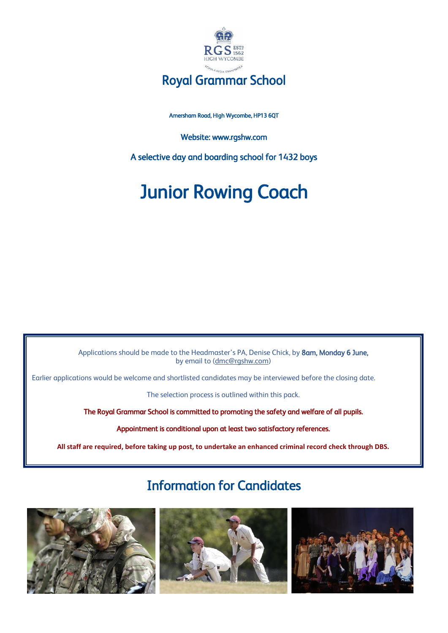

### Royal Grammar School

Amersham Road, High Wycombe, HP13 6QT

Website: www.rgshw.com

A selective day and boarding school for 1432 boys

# Junior Rowing Coach

Applications should be made to the Headmaster's PA, Denise Chick, by 8am, Monday 6 June, by email to [\(dmc@rgshw.com\)](about:blank)

Earlier applications would be welcome and shortlisted candidates may be interviewed before the closing date.

The selection process is outlined within this pack.

The Royal Grammar School is committed to promoting the safety and welfare of all pupils.

Appointment is conditional upon at least two satisfactory references.

**All staff are required, before taking up post, to undertake an enhanced criminal record check through DBS.**

# Information for Candidates





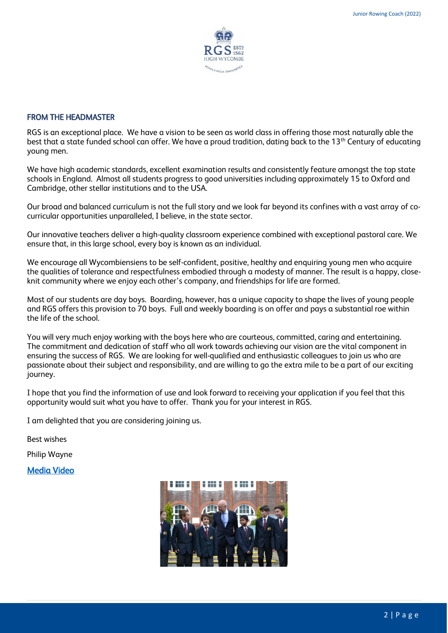

#### FROM THE HEADMASTER

RGS is an exceptional place. We have a vision to be seen as world class in offering those most naturally able the best that a state funded school can offer. We have a proud tradition, dating back to the 13<sup>th</sup> Century of educating young men.

We have high academic standards, excellent examination results and consistently feature amongst the top state schools in England. Almost all students progress to good universities including approximately 15 to Oxford and Cambridge, other stellar institutions and to the USA.

Our broad and balanced curriculum is not the full story and we look far beyond its confines with a vast array of cocurricular opportunities unparalleled, I believe, in the state sector.

Our innovative teachers deliver a high-quality classroom experience combined with exceptional pastoral care. We ensure that, in this large school, every boy is known as an individual.

We encourage all Wycombiensiens to be self-confident, positive, healthy and enquiring young men who acquire the qualities of tolerance and respectfulness embodied through a modesty of manner. The result is a happy, closeknit community where we enjoy each other's company, and friendships for life are formed.

Most of our students are day boys. Boarding, however, has a unique capacity to shape the lives of young people and RGS offers this provision to 70 boys. Full and weekly boarding is on offer and pays a substantial roe within the life of the school.

You will very much enjoy working with the boys here who are courteous, committed, caring and entertaining. The commitment and dedication of staff who all work towards achieving our vision are the vital component in ensuring the success of RGS. We are looking for well-qualified and enthusiastic colleagues to join us who are passionate about their subject and responsibility, and are willing to go the extra mile to be a part of our exciting journey.

I hope that you find the information of use and look forward to receiving your application if you feel that this opportunity would suit what you have to offer. Thank you for your interest in RGS.

I am delighted that you are considering joining us.

Best wishes

Philip Wayne

[Media Video](about:blank) 

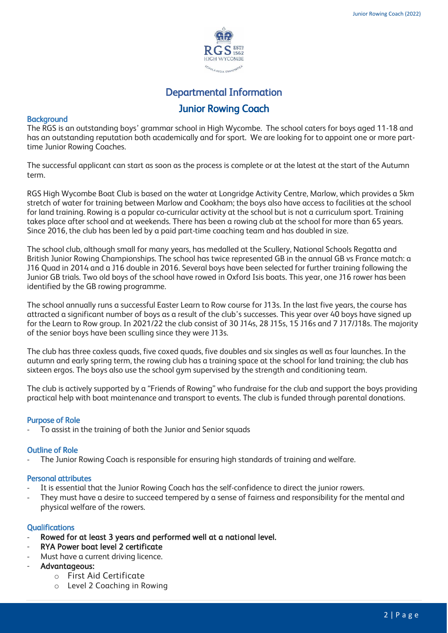

## Departmental Information Junior Rowing Coach

#### **Background**

The RGS is an outstanding boys' grammar school in High Wycombe. The school caters for boys aged 11-18 and has an outstanding reputation both academically and for sport. We are looking for to appoint one or more parttime Junior Rowing Coaches.

The successful applicant can start as soon as the process is complete or at the latest at the start of the Autumn term.

RGS High Wycombe Boat Club is based on the water at Longridge Activity Centre, Marlow, which provides a 5km stretch of water for training between Marlow and Cookham; the boys also have access to facilities at the school for land training. Rowing is a popular co-curricular activity at the school but is not a curriculum sport. Training takes place after school and at weekends. There has been a rowing club at the school for more than 65 years. Since 2016, the club has been led by a paid part-time coaching team and has doubled in size.

The school club, although small for many years, has medalled at the Scullery, National Schools Regatta and British Junior Rowing Championships. The school has twice represented GB in the annual GB vs France match: a J16 Quad in 2014 and a J16 double in 2016. Several boys have been selected for further training following the Junior GB trials. Two old boys of the school have rowed in Oxford Isis boats. This year, one J16 rower has been identified by the GB rowing programme.

The school annually runs a successful Easter Learn to Row course for J13s. In the last five years, the course has attracted a significant number of boys as a result of the club's successes. This year over 40 boys have signed up for the Learn to Row group. In 2021/22 the club consist of 30 J14s, 28 J15s, 15 J16s and 7 J17/J18s. The majority of the senior boys have been sculling since they were J13s.

The club has three coxless quads, five coxed quads, five doubles and six singles as well as four launches. In the autumn and early spring term, the rowing club has a training space at the school for land training; the club has sixteen ergos. The boys also use the school gym supervised by the strength and conditioning team.

The club is actively supported by a "Friends of Rowing" who fundraise for the club and support the boys providing practical help with boat maintenance and transport to events. The club is funded through parental donations.

#### Purpose of Role

To assist in the training of both the Junior and Senior squads

#### Outline of Role

The Junior Rowing Coach is responsible for ensuring high standards of training and welfare.

#### Personal attributes

- It is essential that the Junior Rowing Coach has the self-confidence to direct the junior rowers.
- They must have a desire to succeed tempered by a sense of fairness and responsibility for the mental and physical welfare of the rowers.

#### **Qualifications**

- Rowed for at least 3 years and performed well at a national level.
- RYA Power boat level 2 certificate
- Must have a current driving licence.
- Advantageous:
	- o First Aid Certificate
	- o Level 2 Coaching in Rowing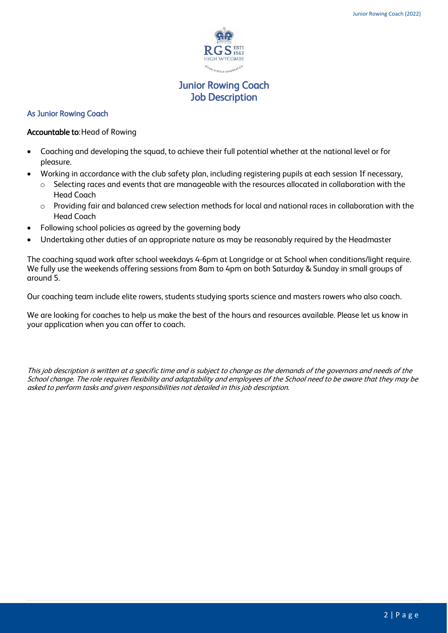

### Junior Rowing Coach Job Description

#### As Junior Rowing Coach

#### Accountable to:Head of Rowing

- Coaching and developing the squad, to achieve their full potential whether at the national level or for pleasure.
- Working in accordance with the club safety plan, including registering pupils at each session If necessary,
	- o Selecting races and events that are manageable with the resources allocated in collaboration with the Head Coach
	- o Providing fair and balanced crew selection methods for local and national races in collaboration with the Head Coach
- Following school policies as agreed by the governing body
- Undertaking other duties of an appropriate nature as may be reasonably required by the Headmaster

The coaching squad work after school weekdays 4-6pm at Longridge or at School when conditions/light require. We fully use the weekends offering sessions from 8am to 4pm on both Saturday & Sunday in small groups of around 5.

Our coaching team include elite rowers, students studying sports science and masters rowers who also coach.

We are looking for coaches to help us make the best of the hours and resources available. Please let us know in your application when you can offer to coach.

This job description is written at a specific time and is subject to change as the demands of the governors and needs of the School change. The role requires flexibility and adaptability and employees of the School need to be aware that they may be asked to perform tasks and given responsibilities not detailed in this job description.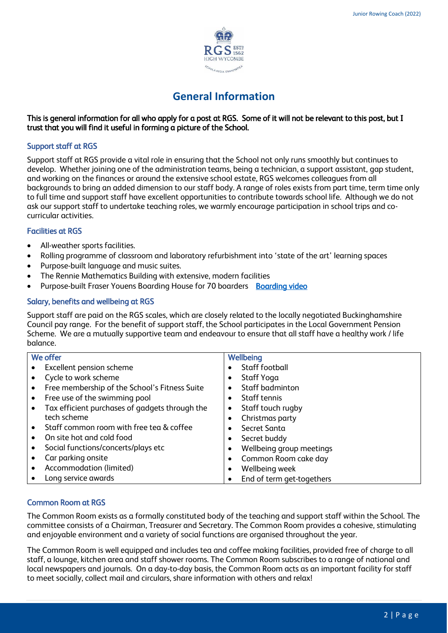

### **General Information**

#### This is general information for all who apply for a post at RGS. Some of it will not be relevant to this post, but I trust that you will find it useful in forming a picture of the School.

#### Support staff at RGS

Support staff at RGS provide a vital role in ensuring that the School not only runs smoothly but continues to develop. Whether joining one of the administration teams, being a technician, a support assistant, gap student, and working on the finances or around the extensive school estate, RGS welcomes colleagues from all backgrounds to bring an added dimension to our staff body. A range of roles exists from part time, term time only to full time and support staff have excellent opportunities to contribute towards school life. Although we do not ask our support staff to undertake teaching roles, we warmly encourage participation in school trips and cocurricular activities.

#### Facilities at RGS

- All-weather sports facilities.
- Rolling programme of classroom and laboratory refurbishment into 'state of the art' learning spaces
- Purpose-built language and music suites.
- The Rennie Mathematics Building with extensive, modern facilities
- Purpose-built Fraser Youens Boarding House for 70 boarders [Boarding video](https://youtu.be/j5Wnf2ed1f0)

#### Salary, benefits and wellbeing at RGS

Support staff are paid on the RGS scales, which are closely related to the locally negotiated Buckinghamshire Council pay range. For the benefit of support staff, the School participates in the Local Government Pension Scheme. We are a mutually supportive team and endeavour to ensure that all staff have a healthy work / life balance.

| We offer |                                                | Wellbeing |                           |
|----------|------------------------------------------------|-----------|---------------------------|
|          | Excellent pension scheme                       |           | Staff football            |
|          | Cycle to work scheme                           | ٠         | Staff Yoga                |
|          | Free membership of the School's Fitness Suite  | $\bullet$ | Staff badminton           |
|          | Free use of the swimming pool                  |           | Staff tennis              |
|          | Tax efficient purchases of gadgets through the | ٠         | Staff touch rugby         |
|          | tech scheme                                    | $\bullet$ | Christmas party           |
|          | Staff common room with free tea & coffee       | $\bullet$ | Secret Santa              |
|          | On site hot and cold food                      | ٠         | Secret buddy              |
|          | Social functions/concerts/plays etc            | $\bullet$ | Wellbeing group meetings  |
|          | Car parking onsite                             |           | Common Room cake day      |
|          | Accommodation (limited)                        | $\bullet$ | Wellbeing week            |
|          | Long service awards                            | $\bullet$ | End of term get-togethers |

#### Common Room at RGS

The Common Room exists as a formally constituted body of the teaching and support staff within the School. The committee consists of a Chairman, Treasurer and Secretary. The Common Room provides a cohesive, stimulating and enjoyable environment and a variety of social functions are organised throughout the year.

The Common Room is well equipped and includes tea and coffee making facilities, provided free of charge to all staff, a lounge, kitchen area and staff shower rooms. The Common Room subscribes to a range of national and local newspapers and journals. On a day-to-day basis, the Common Room acts as an important facility for staff to meet socially, collect mail and circulars, share information with others and relax!